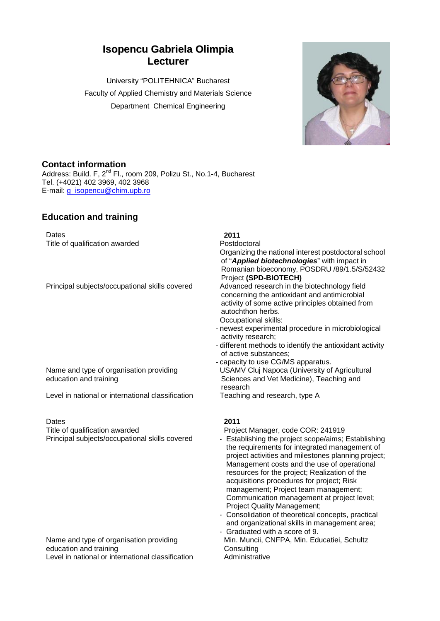# **Isopencu Gabriela Olimpia Lecturer**

University "POLITEHNICA" Bucharest Faculty of Applied Chemistry and Materials Science Department Chemical Engineering



## **Contact information**

Address: Build. F, 2<sup>nd</sup> Fl., room 209, Polizu St., No.1-4, Bucharest Tel. (+4021) 402 3969, 402 3968 E-mail: [g\\_isopencu@chim.upb.ro](mailto:g_isopencu@chim.upb.ro)

# **Education and training**

Dates **2011** Title of qualification awarded Postdoctoral

Principal subjects/occupational skills covered

## Name and type of organisation providing education and training

Level in national or international classification

Dates **2011** Title of qualification awarded Project Manager, code COR: 241919

### Name and type of organisation providing education and training Level in national or international classification **Administrative**

# Organizing the national interest postdoctoral school of "*Applied biotechnologies*" with impact in Romanian bioeconomy, POSDRU /89/1.5/S/52432 Project **(SPD-BIOTECH)**

concerning the antioxidant and antimicrobial activity of some active principles obtained from autochthon herbs. Occupational skills:

- newest experimental procedure in microbiological activity research;
- different methods to identify the antioxidant activity of active substances;
- capacity to use CG/MS apparatus. USAMV Cluj Napoca (University of Agricultural Sciences and Vet Medicine), Teaching and research<br>Teaching and research, type A

- 
- Principal subjects/occupational skills covered Establishing the project scope/aims; Establishing the requirements for integrated management of project activities and milestones planning project; Management costs and the use of operational resources for the project; Realization of the acquisitions procedures for project; Risk management; Project team management; Communication management at project level; Project Quality Management;
	- Consolidation of theoretical concepts, practical and organizational skills in management area; - Graduated with a score of 9.
	- Min. Muncii, CNFPA, Min. Educatiei, Schultz **Consulting**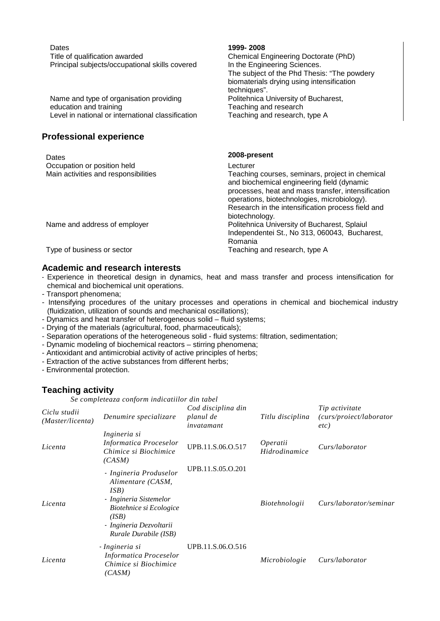| Dates                                                                       | 1999-2008                                                                                                                                                                                          |
|-----------------------------------------------------------------------------|----------------------------------------------------------------------------------------------------------------------------------------------------------------------------------------------------|
| Title of qualification awarded                                              | Chemical Engineering Doctorate (PhD)                                                                                                                                                               |
| Principal subjects/occupational skills covered                              | In the Engineering Sciences.                                                                                                                                                                       |
|                                                                             | The subject of the Phd Thesis: "The powdery                                                                                                                                                        |
|                                                                             | biomaterials drying using intensification                                                                                                                                                          |
|                                                                             | techniques".                                                                                                                                                                                       |
| Name and type of organisation providing                                     | Politehnica University of Bucharest,                                                                                                                                                               |
| education and training<br>Level in national or international classification | Teaching and research                                                                                                                                                                              |
|                                                                             | Teaching and research, type A                                                                                                                                                                      |
|                                                                             |                                                                                                                                                                                                    |
| <b>Professional experience</b>                                              |                                                                                                                                                                                                    |
| Dates                                                                       | 2008-present                                                                                                                                                                                       |
| Occupation or position held                                                 | Lecturer                                                                                                                                                                                           |
| Main activities and responsibilities                                        | Teaching courses, seminars, project in chemical<br>and biochemical engineering field (dynamic<br>processes, heat and mass transfer, intensification<br>operations, biotechnologies, microbiology). |
|                                                                             | Research in the intensification process field and                                                                                                                                                  |
|                                                                             | biotechnology.                                                                                                                                                                                     |
| Name and address of employer                                                | Politehnica University of Bucharest, Splaiul<br>Independentei St., No 313, 060043, Bucharest,<br>Romania                                                                                           |
| Type of business or sector                                                  | Teaching and research, type A                                                                                                                                                                      |
|                                                                             |                                                                                                                                                                                                    |

## **Academic and research interests**

- Experience in theoretical design in dynamics, heat and mass transfer and process intensification for chemical and biochemical unit operations.
- Transport phenomena;
- Intensifying procedures of the unitary processes and operations in chemical and biochemical industry (fluidization, utilization of sounds and mechanical oscillations);
- Dynamics and heat transfer of heterogeneous solid fluid systems;
- Drying of the materials (agricultural, food, pharmaceuticals);
- Separation operations of the heterogeneous solid fluid systems: filtration, sedimentation;
- Dynamic modeling of biochemical reactors stirring phenomena;
- Antioxidant and antimicrobial activity of active principles of herbs;
- Extraction of the active substances from different herbs;
- Environmental protection.

## **Teaching activity**

*Se completeaza conform indicatiilor din tabel*

| Ciclu studii<br>(Master/licenta) | Denumire specializare                                                                                                                                                 | Cod disciplina din<br>planul de<br>invatamant | Titlu disciplina                 | Tip activitate<br>(curs/proiect/laborator<br>etc) |
|----------------------------------|-----------------------------------------------------------------------------------------------------------------------------------------------------------------------|-----------------------------------------------|----------------------------------|---------------------------------------------------|
| Licenta                          | Ingineria si<br>Informatica Proceselor<br>Chimice si Biochimice<br>(CASM)                                                                                             | UPB.11.S.06.O.517                             | <i>Operatii</i><br>Hidrodinamice | Curs/laborator                                    |
| Licenta                          | - Ingineria Produselor<br>Alimentare (CASM,<br>ISB)<br>- Ingineria Sistemelor<br>Biotehnice si Ecologice<br>(ISB)<br>- Ingineria Dezvoltarii<br>Rurale Durabile (ISB) | UPB.11.S.05.O.201                             | Biotehnologii                    | Curs/laborator/seminar                            |
| Licenta                          | - Ingineria si<br>Informatica Proceselor<br>Chimice si Biochimice<br>(CASM)                                                                                           | UPB.11.S.06.O.516                             | Microbiologie                    | Curs/laborator                                    |